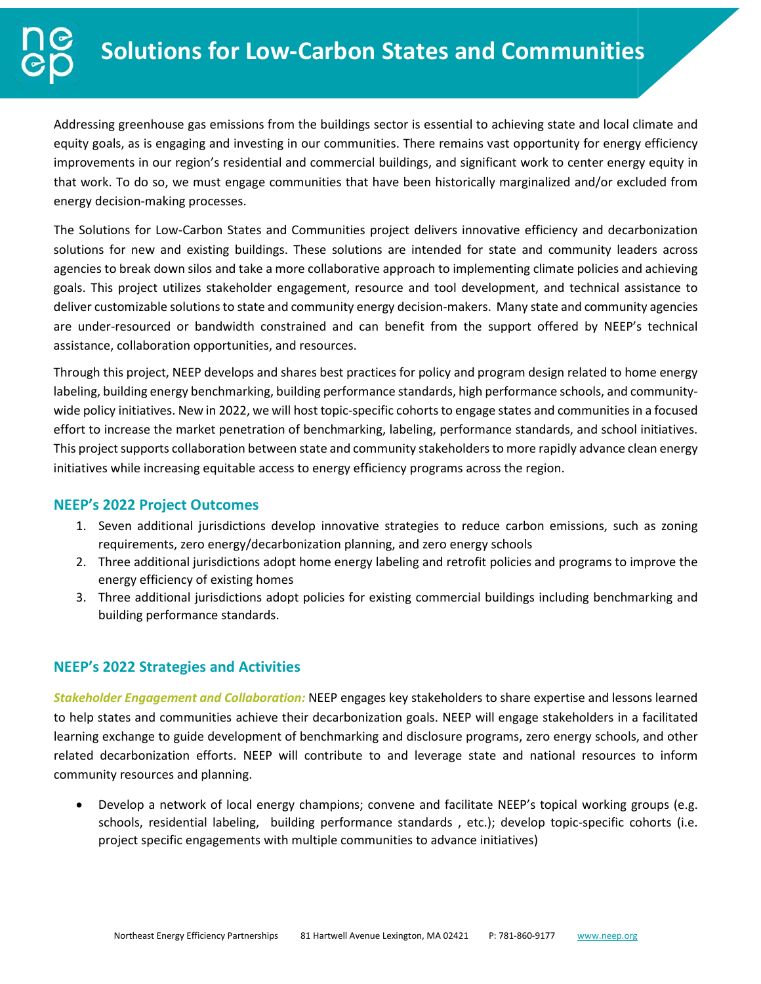Addressing greenhouse gas emissions from the buildings sector is essential to achieving state and local climate and equity goals, as is engaging and investing in our communities. There remains vast opportunity for energy efficiency improvements in our region's residential and commercial buildings, and significant work to center energy equity in that work. To do so, we must engage communities that have been historically marginalized and/or excluded from energy decision-making processes.

The Solutions for Low-Carbon States and Communities project delivers innovative efficiency and decarbonization solutions for new and existing buildings. These solutions are intended for state and community leaders across agencies to break down silos and take a more collaborative approach to implementing climate policies and achieving goals. This project utilizes stakeholder engagement, resource and tool development, and technical assistance to deliver customizable solutions to state and community energy decision-makers. Many state and community agencies are under-resourced or bandwidth constrained and can benefit from the support offered by NEEP's technical assistance, collaboration opportunities, and resources.

Through this project, NEEP develops and shares best practices for policy and program design related to home energy labeling, building energy benchmarking, building performance standards, high performance schools, and communitywide policy initiatives. New in 2022, we will host topic-specific cohorts to engage states and communities in a focused effort to increase the market penetration of benchmarking, labeling, performance standards, and school initiatives. This project supports collaboration between state and community stakeholders to more rapidly advance clean energy initiatives while increasing equitable access to energy efficiency programs across the region.

# **NEEP's 2022 Project Outcomes**

- 1. Seven additional jurisdictions develop innovative strategies to reduce carbon emissions, such as zoning requirements, zero energy/decarbonization planning, and zero energy schools
- 2. Three additional jurisdictions adopt home energy labeling and retrofit policies and programs to improve the energy efficiency of existing homes
- 3. Three additional jurisdictions adopt policies for existing commercial buildings including benchmarking and building performance standards.

# **NEEP's 2022 Strategies and Activities**

*Stakeholder Engagement and Collaboration:* NEEP engages key stakeholders to share expertise and lessons learned to help states and communities achieve their decarbonization goals. NEEP will engage stakeholders in a facilitated learning exchange to guide development of benchmarking and disclosure programs, zero energy schools, and other related decarbonization efforts. NEEP will contribute to and leverage state and national resources to inform community resources and planning.

• Develop a network of local energy champions; convene and facilitate NEEP's topical working groups (e.g. schools, residential labeling, building performance standards , etc.); develop topic-specific cohorts (i.e. project specific engagements with multiple communities to advance initiatives)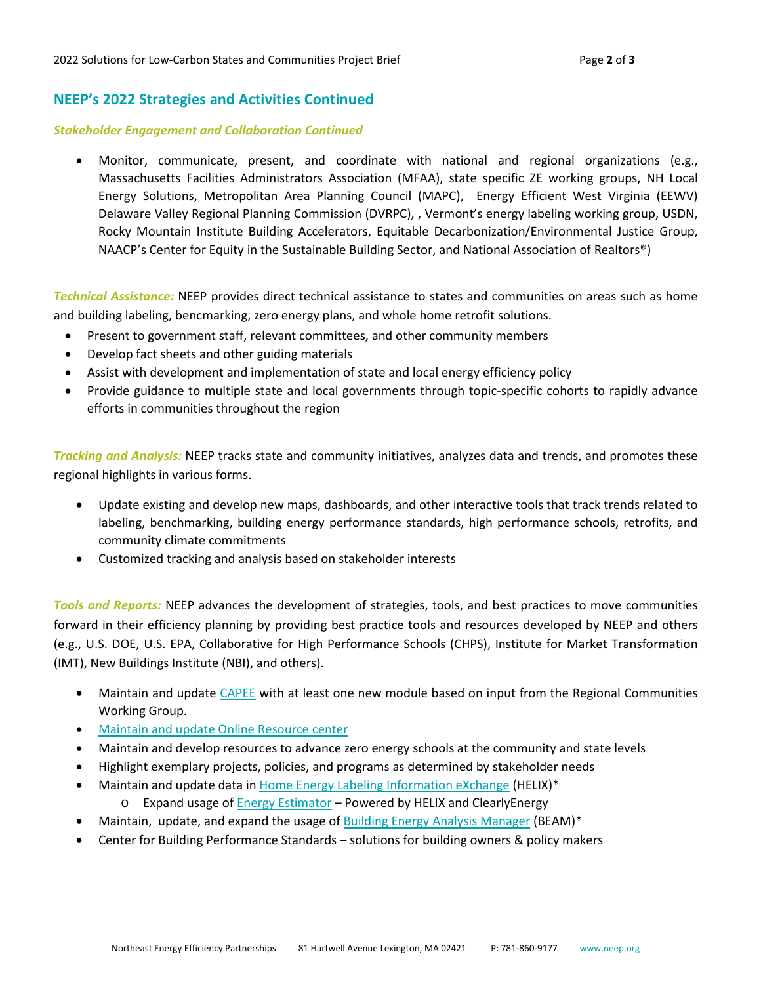### **NEEP's 2022 Strategies and Activities Continued**

#### *Stakeholder Engagement and Collaboration Continued*

• Monitor, communicate, present, and coordinate with national and regional organizations (e.g., Massachusetts Facilities Administrators Association (MFAA), state specific ZE working groups, NH Local Energy Solutions, Metropolitan Area Planning Council (MAPC), Energy Efficient West Virginia (EEWV) Delaware Valley Regional Planning Commission (DVRPC), , Vermont's energy labeling working group, USDN, Rocky Mountain Institute Building Accelerators, Equitable Decarbonization/Environmental Justice Group, NAACP's Center for Equity in the Sustainable Building Sector, and National Association of Realtors®)

*Technical Assistance:* NEEP provides direct technical assistance to states and communities on areas such as home and building labeling, bencmarking, zero energy plans, and whole home retrofit solutions.

- Present to government staff, relevant committees, and other community members
- Develop fact sheets and other guiding materials
- Assist with development and implementation of state and local energy efficiency policy
- Provide guidance to multiple state and local governments through topic-specific cohorts to rapidly advance efforts in communities throughout the region

*Tracking and Analysis:* NEEP tracks state and community initiatives, analyzes data and trends, and promotes these regional highlights in various forms.

- Update existing and develop new maps, dashboards, and other interactive tools that track trends related to labeling, benchmarking, building energy performance standards, high performance schools, retrofits, and community climate commitments
- Customized tracking and analysis based on stakeholder interests

*Tools and Reports:* NEEP advances the development of strategies, tools, and best practices to move communities forward in their efficiency planning by providing best practice tools and resources developed by NEEP and others (e.g., U.S. DOE, U.S. EPA, Collaborative for High Performance Schools (CHPS), Institute for Market Transformation (IMT), New Buildings Institute (NBI), and others).

- Maintain and update *CAPEE* with at least one new module based on input from the Regional Communities Working Group.
- Maintain and updat[e Online Resource center](http://www.neep.org/initiatives/energy-efficient-buildings/high-performance%20communities)
- Maintain and develop resources to advance zero energy schools at the community and state levels
- Highlight exemplary projects, policies, and programs as determined by stakeholder needs
- Maintain and update data in [Home Energy Labeling Information eXchange](https://neep.org/efficient-and-resilient-buildings-and-communities/home-energy-labeling-information-exchange-helix) (HELIX)\*
	- o Expand usage o[f Energy Estimator](https://neep.org/home-energy-labeling-information-exchange-helix-and-residential-labeling/energy-estimator-powered) Powered by HELIX and ClearlyEnergy
- Maintain, update, and expand the usage of [Building Energy Analysis Manager](https://neep.org/building-energy-codes-and-benchmarking/beam-building-energy-analysis-manager) (BEAM)\*
- Center for Building Performance Standards solutions for building owners & policy makers